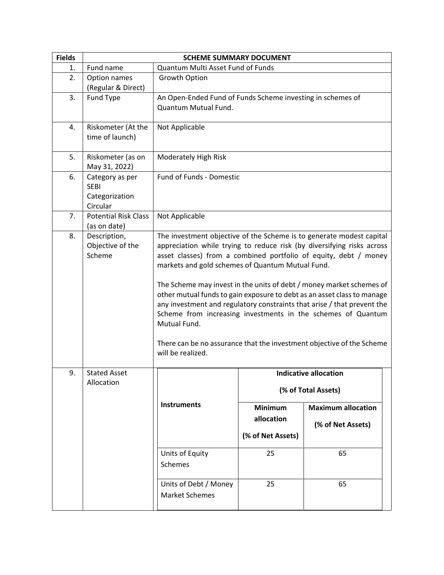| <b>Fields</b> | <b>SCHEME SUMMARY DOCUMENT</b>                               |                                                                                                                                                                                                                                                                                                                                                                                                                                                                                                                                                                                                                                                                                    |                   |                              |  |
|---------------|--------------------------------------------------------------|------------------------------------------------------------------------------------------------------------------------------------------------------------------------------------------------------------------------------------------------------------------------------------------------------------------------------------------------------------------------------------------------------------------------------------------------------------------------------------------------------------------------------------------------------------------------------------------------------------------------------------------------------------------------------------|-------------------|------------------------------|--|
| 1.            | Fund name                                                    | Quantum Multi Asset Fund of Funds                                                                                                                                                                                                                                                                                                                                                                                                                                                                                                                                                                                                                                                  |                   |                              |  |
| 2.            | Option names<br>(Regular & Direct)                           | Growth Option                                                                                                                                                                                                                                                                                                                                                                                                                                                                                                                                                                                                                                                                      |                   |                              |  |
| 3.            | Fund Type                                                    | An Open-Ended Fund of Funds Scheme investing in schemes of<br>Quantum Mutual Fund.                                                                                                                                                                                                                                                                                                                                                                                                                                                                                                                                                                                                 |                   |                              |  |
| 4.            | Riskometer (At the<br>time of launch)                        | Not Applicable                                                                                                                                                                                                                                                                                                                                                                                                                                                                                                                                                                                                                                                                     |                   |                              |  |
| 5.            | Riskometer (as on<br>May 31, 2022)                           | Moderately High Risk                                                                                                                                                                                                                                                                                                                                                                                                                                                                                                                                                                                                                                                               |                   |                              |  |
| 6.            | Category as per<br><b>SEBI</b><br>Categorization<br>Circular | Fund of Funds - Domestic                                                                                                                                                                                                                                                                                                                                                                                                                                                                                                                                                                                                                                                           |                   |                              |  |
| 7.            | <b>Potential Risk Class</b><br>(as on date)                  | Not Applicable                                                                                                                                                                                                                                                                                                                                                                                                                                                                                                                                                                                                                                                                     |                   |                              |  |
| 8.            | Description,<br>Objective of the<br>Scheme                   | The investment objective of the Scheme is to generate modest capital<br>appreciation while trying to reduce risk (by diversifying risks across<br>asset classes) from a combined portfolio of equity, debt / money<br>markets and gold schemes of Quantum Mutual Fund.<br>The Scheme may invest in the units of debt / money market schemes of<br>other mutual funds to gain exposure to debt as an asset class to manage<br>any investment and regulatory constraints that arise / that prevent the<br>Scheme from increasing investments in the schemes of Quantum<br>Mutual Fund.<br>There can be no assurance that the investment objective of the Scheme<br>will be realized. |                   |                              |  |
| 9.            | <b>Stated Asset</b>                                          |                                                                                                                                                                                                                                                                                                                                                                                                                                                                                                                                                                                                                                                                                    |                   | <b>Indicative allocation</b> |  |
|               | Allocation                                                   | (% of Total Assets)                                                                                                                                                                                                                                                                                                                                                                                                                                                                                                                                                                                                                                                                |                   |                              |  |
|               |                                                              | <b>Instruments</b>                                                                                                                                                                                                                                                                                                                                                                                                                                                                                                                                                                                                                                                                 | <b>Minimum</b>    | <b>Maximum allocation</b>    |  |
|               |                                                              |                                                                                                                                                                                                                                                                                                                                                                                                                                                                                                                                                                                                                                                                                    | allocation        | (% of Net Assets)            |  |
|               |                                                              |                                                                                                                                                                                                                                                                                                                                                                                                                                                                                                                                                                                                                                                                                    | (% of Net Assets) |                              |  |
|               |                                                              | Units of Equity<br><b>Schemes</b>                                                                                                                                                                                                                                                                                                                                                                                                                                                                                                                                                                                                                                                  | 25                | 65                           |  |
|               |                                                              | Units of Debt / Money<br><b>Market Schemes</b>                                                                                                                                                                                                                                                                                                                                                                                                                                                                                                                                                                                                                                     | 25                | 65                           |  |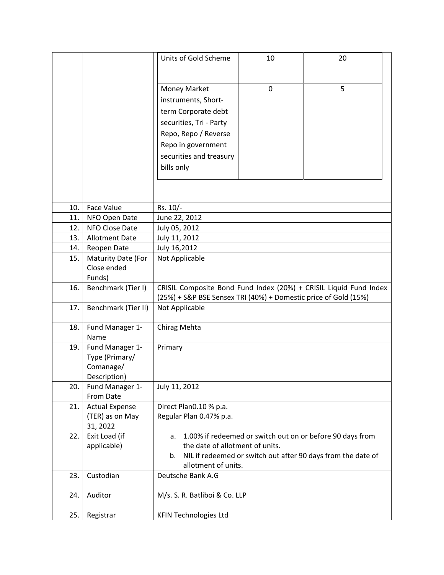|     |                             | Units of Gold Scheme                                            | 10 | 20                                                                |
|-----|-----------------------------|-----------------------------------------------------------------|----|-------------------------------------------------------------------|
|     |                             | <b>Money Market</b>                                             | 0  | 5                                                                 |
|     |                             | instruments, Short-                                             |    |                                                                   |
|     |                             | term Corporate debt                                             |    |                                                                   |
|     |                             | securities, Tri - Party                                         |    |                                                                   |
|     |                             | Repo, Repo / Reverse                                            |    |                                                                   |
|     |                             | Repo in government                                              |    |                                                                   |
|     |                             | securities and treasury                                         |    |                                                                   |
|     |                             | bills only                                                      |    |                                                                   |
|     |                             |                                                                 |    |                                                                   |
| 10. | <b>Face Value</b>           | Rs. 10/-                                                        |    |                                                                   |
| 11. | NFO Open Date               | June 22, 2012                                                   |    |                                                                   |
| 12. | NFO Close Date              | July 05, 2012                                                   |    |                                                                   |
| 13. | <b>Allotment Date</b>       | July 11, 2012                                                   |    |                                                                   |
| 14. | Reopen Date                 | July 16,2012                                                    |    |                                                                   |
| 15. | Maturity Date (For          | Not Applicable                                                  |    |                                                                   |
|     | Close ended<br>Funds)       |                                                                 |    |                                                                   |
| 16. | Benchmark (Tier I)          |                                                                 |    | CRISIL Composite Bond Fund Index (20%) + CRISIL Liquid Fund Index |
|     |                             | (25%) + S&P BSE Sensex TRI (40%) + Domestic price of Gold (15%) |    |                                                                   |
| 17. | Benchmark (Tier II)         | Not Applicable                                                  |    |                                                                   |
| 18. | Fund Manager 1-             | Chirag Mehta                                                    |    |                                                                   |
|     | Name                        |                                                                 |    |                                                                   |
| 19. | Fund Manager 1-             | Primary                                                         |    |                                                                   |
|     | Type (Primary/<br>Comanage/ |                                                                 |    |                                                                   |
|     | Description)                |                                                                 |    |                                                                   |
| 20. | Fund Manager 1-             | July 11, 2012                                                   |    |                                                                   |
|     | From Date                   |                                                                 |    |                                                                   |
| 21. | <b>Actual Expense</b>       | Direct Plan0.10 % p.a.                                          |    |                                                                   |
|     | (TER) as on May             | Regular Plan 0.47% p.a.                                         |    |                                                                   |
|     | 31, 2022                    |                                                                 |    |                                                                   |
| 22. | Exit Load (if               | a.                                                              |    | 1.00% if redeemed or switch out on or before 90 days from         |
|     | applicable)                 | the date of allotment of units.<br>b.                           |    | NIL if redeemed or switch out after 90 days from the date of      |
|     |                             | allotment of units.                                             |    |                                                                   |
| 23. | Custodian                   | Deutsche Bank A.G                                               |    |                                                                   |
|     |                             |                                                                 |    |                                                                   |
| 24. | Auditor                     | M/s. S. R. Batliboi & Co. LLP                                   |    |                                                                   |
| 25. | Registrar                   | <b>KFIN Technologies Ltd</b>                                    |    |                                                                   |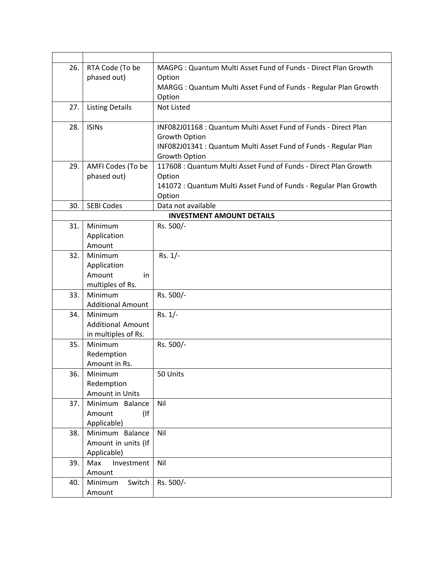| 26. | RTA Code (To be                      | MAGPG: Quantum Multi Asset Fund of Funds - Direct Plan Growth    |
|-----|--------------------------------------|------------------------------------------------------------------|
|     | phased out)                          | Option                                                           |
|     |                                      | MARGG: Quantum Multi Asset Fund of Funds - Regular Plan Growth   |
|     |                                      | Option                                                           |
| 27. | <b>Listing Details</b>               | <b>Not Listed</b>                                                |
|     |                                      |                                                                  |
| 28. | <b>ISINs</b>                         | INF082J01168 : Quantum Multi Asset Fund of Funds - Direct Plan   |
|     |                                      | Growth Option                                                    |
|     |                                      | INF082J01341 : Quantum Multi Asset Fund of Funds - Regular Plan  |
|     |                                      | Growth Option                                                    |
| 29. | AMFI Codes (To be                    | 117608 : Quantum Multi Asset Fund of Funds - Direct Plan Growth  |
|     | phased out)                          | Option                                                           |
|     |                                      | 141072 : Quantum Multi Asset Fund of Funds - Regular Plan Growth |
|     |                                      | Option                                                           |
| 30. | <b>SEBI Codes</b>                    | Data not available                                               |
|     |                                      | <b>INVESTMENT AMOUNT DETAILS</b>                                 |
| 31. | Minimum                              | Rs. 500/-                                                        |
|     | Application                          |                                                                  |
|     | Amount                               |                                                                  |
| 32. | Minimum                              | $Rs. 1/-$                                                        |
|     | Application                          |                                                                  |
|     | Amount<br>in                         |                                                                  |
|     | multiples of Rs.                     |                                                                  |
| 33. | Minimum                              | Rs. 500/-                                                        |
|     | <b>Additional Amount</b>             |                                                                  |
| 34. | Minimum                              | $Rs. 1/-$                                                        |
|     | <b>Additional Amount</b>             |                                                                  |
|     | in multiples of Rs.                  |                                                                  |
| 35. | Minimum                              | Rs. 500/-                                                        |
|     | Redemption                           |                                                                  |
|     | Amount in Rs.                        |                                                                  |
| 36. | Minimum                              | 50 Units                                                         |
|     | Redemption<br><b>Amount in Units</b> |                                                                  |
|     |                                      |                                                                  |
| 37. | Minimum Balance<br>Amount            | Nil                                                              |
|     | (                                    |                                                                  |
| 38. | Applicable)<br>Minimum Balance       | Nil                                                              |
|     | Amount in units (If                  |                                                                  |
|     | Applicable)                          |                                                                  |
| 39. | Investment<br>Max                    | Nil                                                              |
|     | Amount                               |                                                                  |
| 40. | Minimum<br>Switch                    | Rs. 500/-                                                        |
|     |                                      |                                                                  |
|     | Amount                               |                                                                  |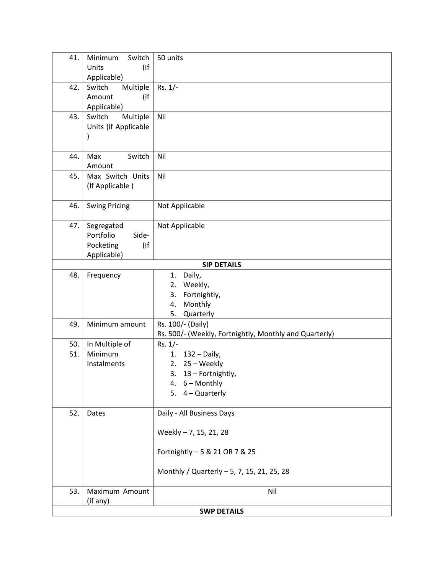| 41.                | Minimum<br>Switch    | 50 units                                               |
|--------------------|----------------------|--------------------------------------------------------|
|                    | $($ If<br>Units      |                                                        |
|                    | Applicable)          |                                                        |
| 42.                | Multiple<br>Switch   | $Rs. 1/-$                                              |
|                    | Amount<br>(if        |                                                        |
|                    | Applicable)          |                                                        |
| 43.                | Switch<br>Multiple   | Nil                                                    |
|                    | Units (if Applicable |                                                        |
|                    |                      |                                                        |
|                    |                      |                                                        |
| 44.                | Switch<br>Max        | Nil                                                    |
|                    | Amount               |                                                        |
| 45.                | Max Switch Units     | Nil                                                    |
|                    | (If Applicable)      |                                                        |
| 46.                |                      |                                                        |
|                    | <b>Swing Pricing</b> | Not Applicable                                         |
| 47.                | Segregated           | Not Applicable                                         |
|                    | Portfolio<br>Side-   |                                                        |
|                    | Pocketing<br>$($ If  |                                                        |
|                    | Applicable)          |                                                        |
|                    |                      | <b>SIP DETAILS</b>                                     |
| 48.                | Frequency            | Daily,<br>1.                                           |
|                    |                      | Weekly,<br>2.                                          |
|                    |                      | 3.<br>Fortnightly,                                     |
|                    |                      | Monthly<br>4.                                          |
|                    |                      | 5.<br>Quarterly                                        |
| 49.                | Minimum amount       | Rs. 100/- (Daily)                                      |
|                    |                      | Rs. 500/- (Weekly, Fortnightly, Monthly and Quarterly) |
| 50.                | In Multiple of       | $Rs. 1/-$                                              |
| 51.                | Minimum              | $132 - Daily$ ,<br>1.                                  |
|                    | Instalments          | 25 - Weekly<br>2.                                      |
|                    |                      | 13 - Fortnightly,<br>3.                                |
|                    |                      | 4. 6 - Monthly                                         |
|                    |                      | $4 -$ Quarterly<br>5.                                  |
|                    |                      |                                                        |
| 52.                | Dates                | Daily - All Business Days                              |
|                    |                      |                                                        |
|                    |                      | Weekly - 7, 15, 21, 28                                 |
|                    |                      |                                                        |
|                    |                      | Fortnightly - 5 & 21 OR 7 & 25                         |
|                    |                      | Monthly / Quarterly - 5, 7, 15, 21, 25, 28             |
|                    |                      |                                                        |
| 53.                | Maximum Amount       | Nil                                                    |
|                    | (if any)             |                                                        |
| <b>SWP DETAILS</b> |                      |                                                        |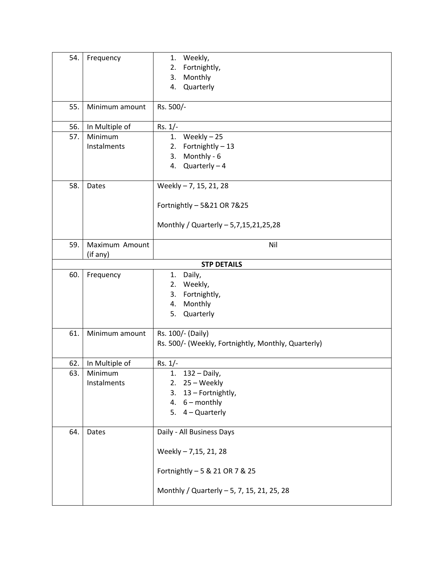| 54. | Frequency      | Weekly,<br>1.<br>Fortnightly,<br>2.<br>Monthly<br>3.<br>Quarterly<br>4. |  |
|-----|----------------|-------------------------------------------------------------------------|--|
| 55. | Minimum amount | Rs. 500/-                                                               |  |
| 56. | In Multiple of | $Rs. 1/-$                                                               |  |
| 57. | Minimum        | 1. Weekly $-25$                                                         |  |
|     | Instalments    | Fortnightly-13<br>2.                                                    |  |
|     |                | Monthly - 6<br>3.<br>4.                                                 |  |
|     |                | $Quarterly - 4$                                                         |  |
| 58. | Dates          | Weekly - 7, 15, 21, 28                                                  |  |
|     |                | Fortnightly - 5&21 OR 7&25                                              |  |
|     |                | Monthly / Quarterly - 5,7,15,21,25,28                                   |  |
| 59. | Maximum Amount | Nil                                                                     |  |
|     | (if any)       |                                                                         |  |
| 60. | Frequency      | <b>STP DETAILS</b><br>Daily,<br>1.                                      |  |
|     |                | Weekly,<br>2.                                                           |  |
|     |                | Fortnightly,<br>3.                                                      |  |
|     |                | Monthly<br>4.                                                           |  |
|     |                | Quarterly<br>5.                                                         |  |
| 61. | Minimum amount | Rs. 100/- (Daily)                                                       |  |
|     |                | Rs. 500/- (Weekly, Fortnightly, Monthly, Quarterly)                     |  |
| 62. | In Multiple of | $Rs. 1/-$                                                               |  |
| 63. | Minimum        | 1.<br>$132 - Daily$ ,                                                   |  |
|     | Instalments    | 2. $25 - Weekly$                                                        |  |
|     |                | 3. 13 - Fortnightly,                                                    |  |
|     |                | 4. $6 - monthly$<br>5. 4 - Quarterly                                    |  |
|     |                |                                                                         |  |
| 64. | Dates          | Daily - All Business Days                                               |  |
|     |                | Weekly - 7,15, 21, 28                                                   |  |
|     |                | Fortnightly - 5 & 21 OR 7 & 25                                          |  |
|     |                | Monthly / Quarterly - 5, 7, 15, 21, 25, 28                              |  |